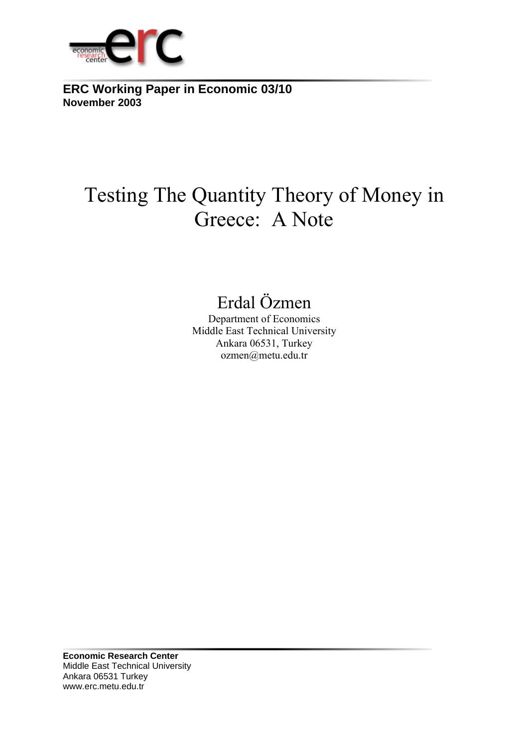

**ERC Working Paper in Economic 03/10 November 2003**

# Testing The Quantity Theory of Money in Greece: A Note

## Erdal Özmen

Department of Economics Middle East Technical University Ankara 06531, Turkey ozmen@metu.edu.tr

**Economic Research Center**  Middle East Technical University Ankara 06531 Turkey www.erc.metu.edu.tr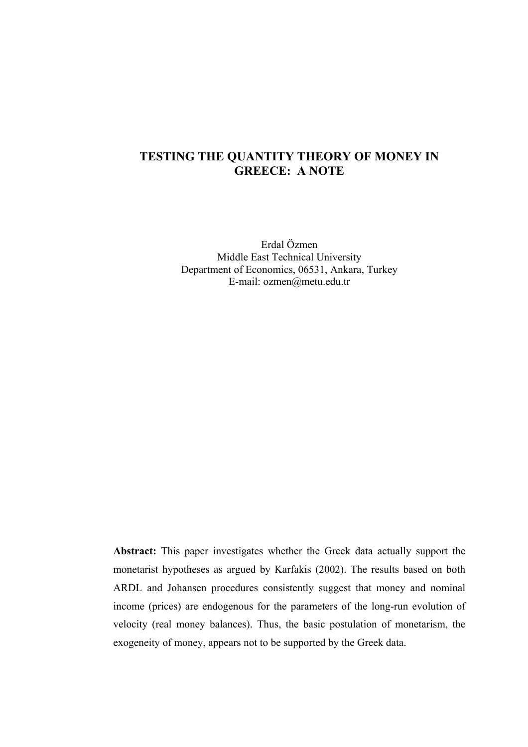### **TESTING THE QUANTITY THEORY OF MONEY IN GREECE: A NOTE**

Erdal Özmen Middle East Technical University Department of Economics, 06531, Ankara, Turkey E-mail: ozmen@metu.edu.tr

**Abstract:** This paper investigates whether the Greek data actually support the monetarist hypotheses as argued by Karfakis (2002). The results based on both ARDL and Johansen procedures consistently suggest that money and nominal income (prices) are endogenous for the parameters of the long-run evolution of velocity (real money balances). Thus, the basic postulation of monetarism, the exogeneity of money, appears not to be supported by the Greek data.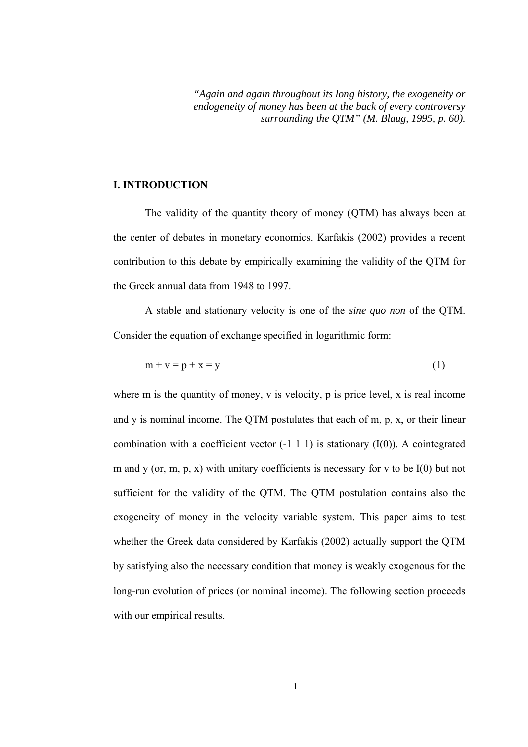*"Again and again throughout its long history, the exogeneity or endogeneity of money has been at the back of every controversy surrounding the QTM" (M. Blaug, 1995, p. 60).* 

#### **I. INTRODUCTION**

 The validity of the quantity theory of money (QTM) has always been at the center of debates in monetary economics. Karfakis (2002) provides a recent contribution to this debate by empirically examining the validity of the QTM for the Greek annual data from 1948 to 1997.

A stable and stationary velocity is one of the *sine quo non* of the QTM. Consider the equation of exchange specified in logarithmic form:

$$
m + v = p + x = y \tag{1}
$$

where m is the quantity of money, y is velocity, p is price level, x is real income and y is nominal income. The QTM postulates that each of m, p, x, or their linear combination with a coefficient vector  $(-1 \ 1 \ 1)$  is stationary  $(I(0))$ . A cointegrated m and y (or, m, p, x) with unitary coefficients is necessary for v to be  $I(0)$  but not sufficient for the validity of the QTM. The QTM postulation contains also the exogeneity of money in the velocity variable system. This paper aims to test whether the Greek data considered by Karfakis (2002) actually support the QTM by satisfying also the necessary condition that money is weakly exogenous for the long-run evolution of prices (or nominal income). The following section proceeds with our empirical results.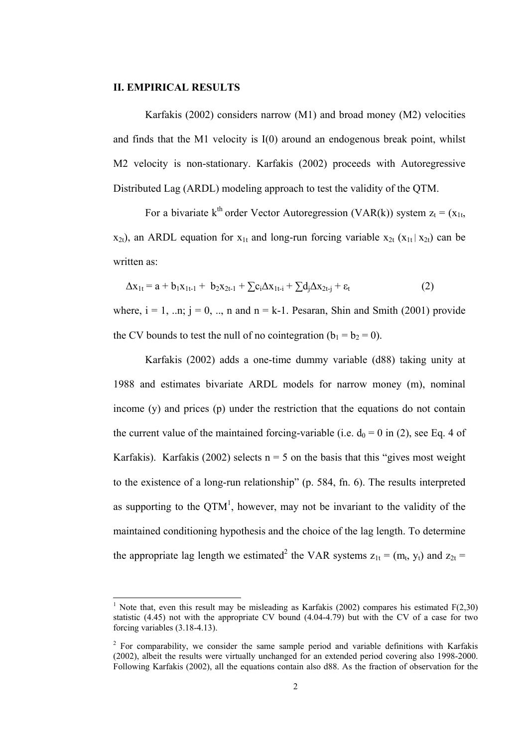#### **II. EMPIRICAL RESULTS**

l

Karfakis (2002) considers narrow (M1) and broad money (M2) velocities and finds that the M1 velocity is I(0) around an endogenous break point, whilst M2 velocity is non-stationary. Karfakis (2002) proceeds with Autoregressive Distributed Lag (ARDL) modeling approach to test the validity of the QTM.

For a bivariate k<sup>th</sup> order Vector Autoregression (VAR(k)) system  $z_t = (x_{1t})$  $x_{2t}$ ), an ARDL equation for  $x_{1t}$  and long-run forcing variable  $x_{2t}$  ( $x_{1t}$  |  $x_{2t}$ ) can be written as:

$$
\Delta x_{1t} = a + b_1 x_{1t-1} + b_2 x_{2t-1} + \sum c_i \Delta x_{1t-i} + \sum d_j \Delta x_{2t-j} + \varepsilon_t
$$
 (2)

where,  $i = 1$ , ..n;  $j = 0$ , ..., n and  $n = k-1$ . Pesaran, Shin and Smith (2001) provide the CV bounds to test the null of no cointegration ( $b_1 = b_2 = 0$ ).

Karfakis (2002) adds a one-time dummy variable (d88) taking unity at 1988 and estimates bivariate ARDL models for narrow money (m), nominal income (y) and prices (p) under the restriction that the equations do not contain the current value of the maintained forcing-variable (i.e.  $d_0 = 0$  in (2), see Eq. 4 of Karfakis). Karfakis (2002) selects  $n = 5$  on the basis that this "gives most weight to the existence of a long-run relationship" (p. 584, fn. 6). The results interpreted as supporting to the  $QTM^1$ , however, may not be invariant to the validity of the maintained conditioning hypothesis and the choice of the lag length. To determine the appropriate lag length we estimated<sup>2</sup> the VAR systems  $z_{1t} = (m_t, y_t)$  and  $z_{2t} =$ 

<sup>&</sup>lt;sup>1</sup> Note that, even this result may be misleading as Karfakis (2002) compares his estimated  $F(2,30)$ statistic (4.45) not with the appropriate CV bound (4.04-4.79) but with the CV of a case for two forcing variables (3.18-4.13).

 $2^2$  For comparability, we consider the same sample period and variable definitions with Karfakis (2002), albeit the results were virtually unchanged for an extended period covering also 1998-2000. Following Karfakis (2002), all the equations contain also d88. As the fraction of observation for the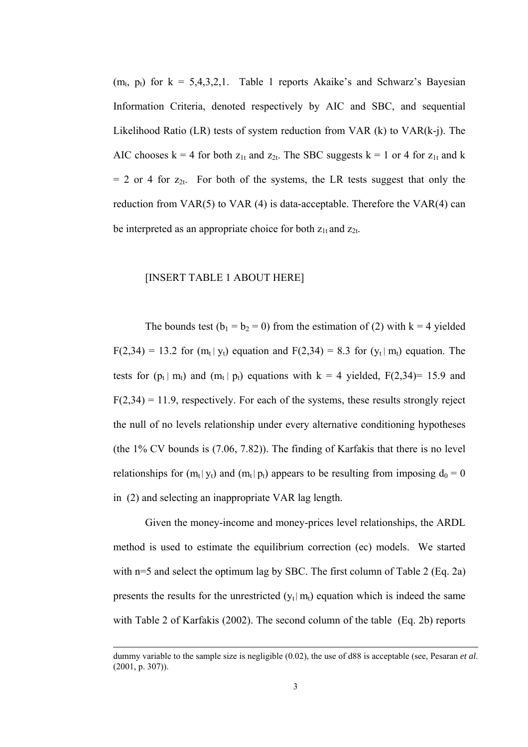$(m_t, p_t)$  for  $k = 5,4,3,2,1$ . Table 1 reports Akaike's and Schwarz's Bayesian Information Criteria, denoted respectively by AIC and SBC, and sequential Likelihood Ratio (LR) tests of system reduction from VAR (k) to VAR(k-j). The AIC chooses  $k = 4$  for both  $z_{1t}$  and  $z_{2t}$ . The SBC suggests  $k = 1$  or 4 for  $z_{1t}$  and k  $= 2$  or 4 for  $z_{2t}$ . For both of the systems, the LR tests suggest that only the reduction from VAR(5) to VAR (4) is data-acceptable. Therefore the VAR(4) can be interpreted as an appropriate choice for both  $z_{1t}$  and  $z_{2t}$ .

#### [INSERT TABLE 1 ABOUT HERE]

The bounds test  $(b_1 = b_2 = 0)$  from the estimation of (2) with k = 4 yielded  $F(2,34) = 13.2$  for  $(m_t | y_t)$  equation and  $F(2,34) = 8.3$  for  $(y_t | m_t)$  equation. The tests for  $(p_t | m_t)$  and  $(m_t | p_t)$  equations with  $k = 4$  yielded,  $F(2,34) = 15.9$  and  $F(2,34) = 11.9$ , respectively. For each of the systems, these results strongly reject the null of no levels relationship under every alternative conditioning hypotheses (the 1% CV bounds is (7.06, 7.82)). The finding of Karfakis that there is no level relationships for  $(m_t | y_t)$  and  $(m_t | p_t)$  appears to be resulting from imposing  $d_0 = 0$ in (2) and selecting an inappropriate VAR lag length.

 Given the money-income and money-prices level relationships, the ARDL method is used to estimate the equilibrium correction (ec) models. We started with n=5 and select the optimum lag by SBC. The first column of Table 2 (Eq. 2a) presents the results for the unrestricted  $(y_t | m_t)$  equation which is indeed the same with Table 2 of Karfakis (2002). The second column of the table (Eq. 2b) reports

l

dummy variable to the sample size is negligible (0.02), the use of d88 is acceptable (see, Pesaran *et al*. (2001, p. 307)).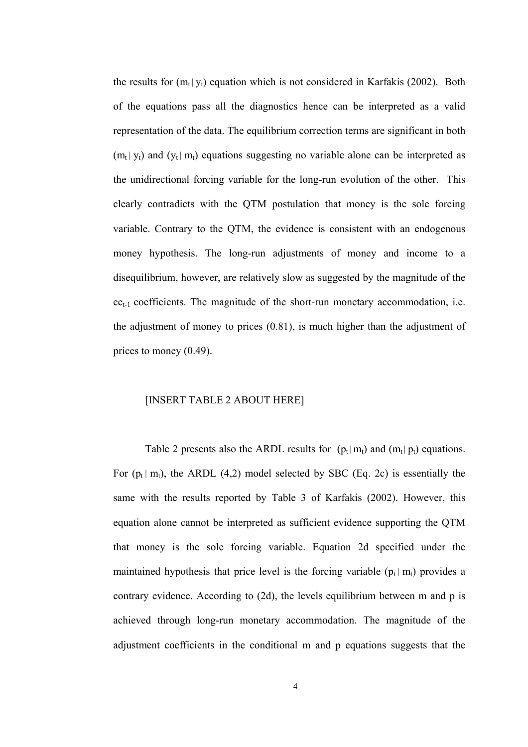the results for  $(m_t | y_t)$  equation which is not considered in Karfakis (2002). Both of the equations pass all the diagnostics hence can be interpreted as a valid representation of the data. The equilibrium correction terms are significant in both  $(m_t | y_t)$  and  $(y_t | m_t)$  equations suggesting no variable alone can be interpreted as the unidirectional forcing variable for the long-run evolution of the other. This clearly contradicts with the QTM postulation that money is the sole forcing variable. Contrary to the QTM, the evidence is consistent with an endogenous money hypothesis. The long-run adjustments of money and income to a disequilibrium, however, are relatively slow as suggested by the magnitude of the  $ec_{t-1}$  coefficients. The magnitude of the short-run monetary accommodation, i.e. the adjustment of money to prices (0.81), is much higher than the adjustment of prices to money (0.49).

#### [INSERT TABLE 2 ABOUT HERE]

Table 2 presents also the ARDL results for  $(p_t | m_t)$  and  $(m_t | p_t)$  equations. For  $(p_t | m_t)$ , the ARDL (4,2) model selected by SBC (Eq. 2c) is essentially the same with the results reported by Table 3 of Karfakis (2002). However, this equation alone cannot be interpreted as sufficient evidence supporting the QTM that money is the sole forcing variable. Equation 2d specified under the maintained hypothesis that price level is the forcing variable  $(p_t | m_t)$  provides a contrary evidence. According to (2d), the levels equilibrium between m and p is achieved through long-run monetary accommodation. The magnitude of the adjustment coefficients in the conditional m and p equations suggests that the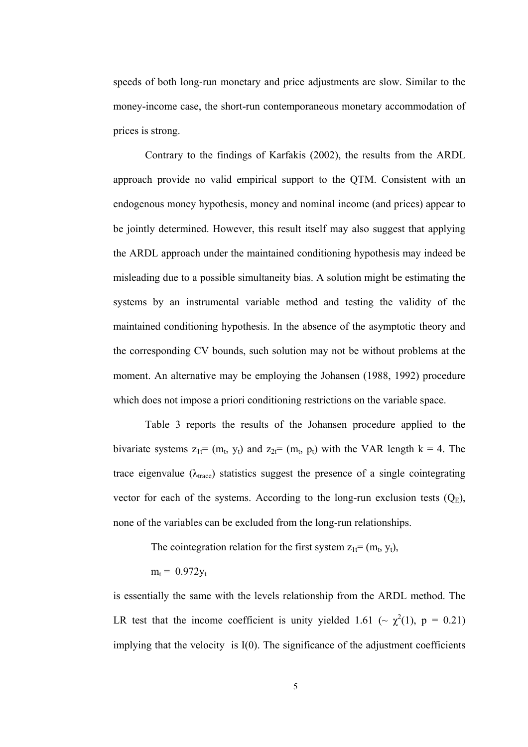speeds of both long-run monetary and price adjustments are slow. Similar to the money-income case, the short-run contemporaneous monetary accommodation of prices is strong.

Contrary to the findings of Karfakis (2002), the results from the ARDL approach provide no valid empirical support to the QTM. Consistent with an endogenous money hypothesis, money and nominal income (and prices) appear to be jointly determined. However, this result itself may also suggest that applying the ARDL approach under the maintained conditioning hypothesis may indeed be misleading due to a possible simultaneity bias. A solution might be estimating the systems by an instrumental variable method and testing the validity of the maintained conditioning hypothesis. In the absence of the asymptotic theory and the corresponding CV bounds, such solution may not be without problems at the moment. An alternative may be employing the Johansen (1988, 1992) procedure which does not impose a priori conditioning restrictions on the variable space.

Table 3 reports the results of the Johansen procedure applied to the bivariate systems  $z_{1t} = (m_t, y_t)$  and  $z_{2t} = (m_t, p_t)$  with the VAR length k = 4. The trace eigenvalue ( $\lambda_{\text{trace}}$ ) statistics suggest the presence of a single cointegrating vector for each of the systems. According to the long-run exclusion tests  $(Q_E)$ , none of the variables can be excluded from the long-run relationships.

The cointegration relation for the first system  $z_{1t} = (m_t, y_t)$ ,

$$
m_t = 0.972 y_t
$$

is essentially the same with the levels relationship from the ARDL method. The LR test that the income coefficient is unity yielded 1.61 ( $\sim \chi^2(1)$ , p = 0.21) implying that the velocity is I(0). The significance of the adjustment coefficients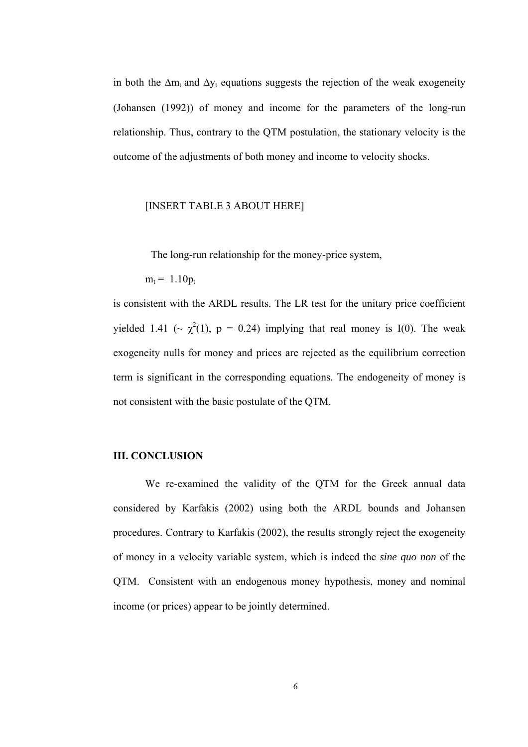in both the  $\Delta m_t$  and  $\Delta y_t$  equations suggests the rejection of the weak exogeneity (Johansen (1992)) of money and income for the parameters of the long-run relationship. Thus, contrary to the QTM postulation, the stationary velocity is the outcome of the adjustments of both money and income to velocity shocks.

#### [INSERT TABLE 3 ABOUT HERE]

The long-run relationship for the money-price system,

 $m_t = 1.10p_t$ 

is consistent with the ARDL results. The LR test for the unitary price coefficient yielded 1.41 ( $\sim \chi^2(1)$ , p = 0.24) implying that real money is I(0). The weak exogeneity nulls for money and prices are rejected as the equilibrium correction term is significant in the corresponding equations. The endogeneity of money is not consistent with the basic postulate of the QTM.

#### **III. CONCLUSION**

We re-examined the validity of the QTM for the Greek annual data considered by Karfakis (2002) using both the ARDL bounds and Johansen procedures. Contrary to Karfakis (2002), the results strongly reject the exogeneity of money in a velocity variable system, which is indeed the *sine quo non* of the QTM. Consistent with an endogenous money hypothesis, money and nominal income (or prices) appear to be jointly determined.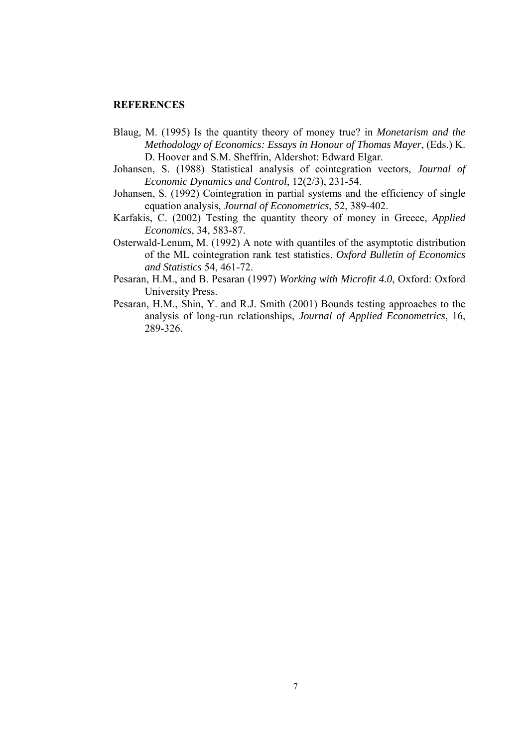#### **REFERENCES**

- Blaug, M. (1995) Is the quantity theory of money true? in *Monetarism and the Methodology of Economics: Essays in Honour of Thomas Mayer*, (Eds.) K. D. Hoover and S.M. Sheffrin, Aldershot: Edward Elgar.
- Johansen, S. (1988) Statistical analysis of cointegration vectors, *Journal of Economic Dynamics and Control*, 12(2/3), 231-54.
- Johansen, S. (1992) Cointegration in partial systems and the efficiency of single equation analysis, *Journal of Econometrics*, 52, 389-402.
- Karfakis, C. (2002) Testing the quantity theory of money in Greece, *Applied Economics*, 34, 583-87.
- Osterwald-Lenum, M. (1992) A note with quantiles of the asymptotic distribution of the ML cointegration rank test statistics. *Oxford Bulletin of Economics and Statistics* 54, 461-72.
- Pesaran, H.M., and B. Pesaran (1997) *Working with Microfit 4.0*, Oxford: Oxford University Press.
- Pesaran, H.M., Shin, Y. and R.J. Smith (2001) Bounds testing approaches to the analysis of long-run relationships, *Journal of Applied Econometrics*, 16, 289-326.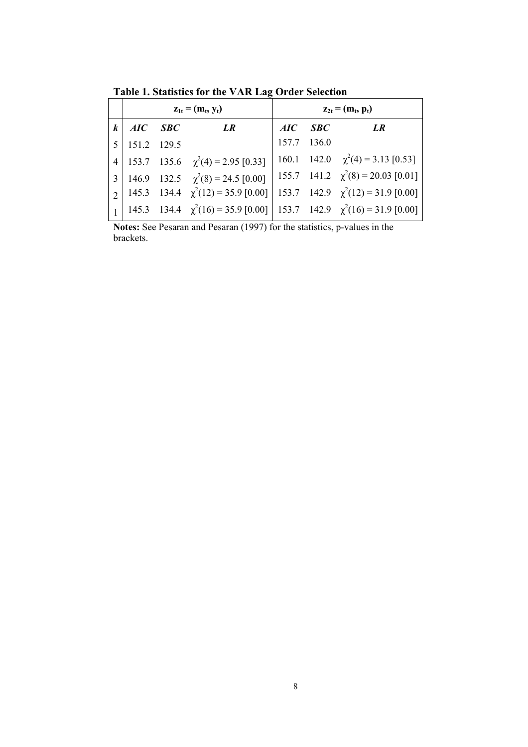$z_{1t} = (m_t, y_t)$   $z_{2t} = (m_t, p_t)$ *k AIC SBC LR AIC SBC LR*  5 151.2 129.5 157.7 136.0  $4 \mid 153.7 \quad 135.6 \quad \chi^2(4) = 2.95 \; [0.33] \mid 160.1 \quad 142.0 \quad \chi$  $^{2}(4) = 3.13$  [0.53] 3 | 146.9 132.5  $\chi^2(8) = 24.5$  [0.00] | 155.7 141.2  $\chi$  $^{2}(8) = 20.03$  [0.01]  $2 \begin{bmatrix} 145.3 & 134.4 & \chi^2(12) = 35.9 & [0.00] & 153.7 & 142.9 & \chi \end{bmatrix}$  $^{2}(12) = 31.9$  [0.00]

**Table 1. Statistics for the VAR Lag Order Selection** 

 $1 \mid 145.3 \quad 134.4 \quad \chi^2(16) = 35.9 \; [0.00] \mid 153.7 \quad 142.9 \quad \chi$ 

**Notes:** See Pesaran and Pesaran (1997) for the statistics, p-values in the brackets.

 $^{2}(16) = 31.9$  [0.00]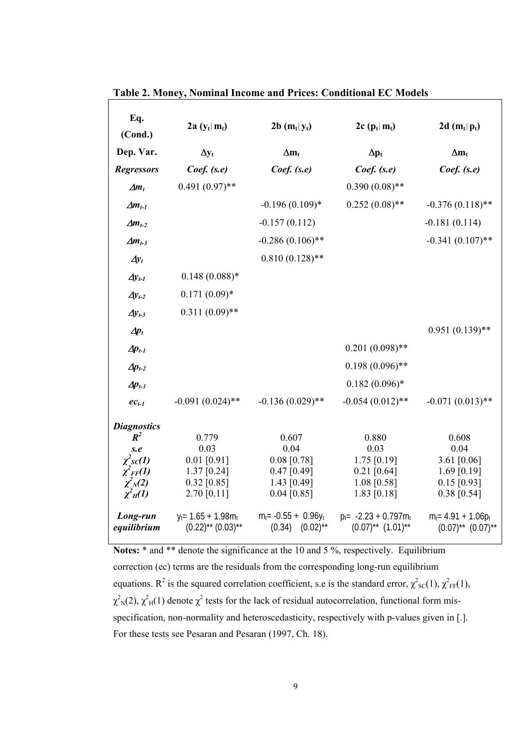| Eq.<br>(Cond.)                                                                                              | $2a (y_t m_t)$                                                                  | $2b(m_t y_t)$                                                                     | 2c $(p_t   m_t)$                                                                | 2d $(m_t p_t)$                                                                    |
|-------------------------------------------------------------------------------------------------------------|---------------------------------------------------------------------------------|-----------------------------------------------------------------------------------|---------------------------------------------------------------------------------|-----------------------------------------------------------------------------------|
| Dep. Var.                                                                                                   | $\Delta y_t$                                                                    | $\Delta m_t$                                                                      | $\Delta p_{t}$                                                                  | $\Delta m_t$                                                                      |
| <b>Regressors</b>                                                                                           | $Coef.$ (s.e)                                                                   | $Coef.$ (s.e)                                                                     | $Coef.$ (s.e)                                                                   | $Coef.$ (s.e)                                                                     |
| $\Delta m_t$                                                                                                | $0.491(0.97)$ **                                                                |                                                                                   | $0.390(0.08)$ **                                                                |                                                                                   |
| $\Delta m_{t-1}$                                                                                            |                                                                                 | $-0.196(0.109)*$                                                                  | $0.252(0.08)$ **                                                                | $-0.376(0.118)$ **                                                                |
| $\Delta m_{t-2}$                                                                                            |                                                                                 | $-0.157(0.112)$                                                                   |                                                                                 | $-0.181(0.114)$                                                                   |
| $\Delta m_{t-3}$                                                                                            |                                                                                 | $-0.286(0.106)$ **                                                                |                                                                                 | $-0.341(0.107)$ **                                                                |
| $\Delta y_t$                                                                                                |                                                                                 | $0.810(0.128)$ **                                                                 |                                                                                 |                                                                                   |
| $\Delta y_{t-1}$                                                                                            | $0.148(0.088)*$                                                                 |                                                                                   |                                                                                 |                                                                                   |
| $\Delta y_{t-2}$                                                                                            | $0.171(0.09)*$                                                                  |                                                                                   |                                                                                 |                                                                                   |
| $\Delta y_{t-3}$                                                                                            | $0.311(0.09)$ **                                                                |                                                                                   |                                                                                 |                                                                                   |
| $Ap_t$                                                                                                      |                                                                                 |                                                                                   |                                                                                 | $0.951(0.139)$ **                                                                 |
| $\Delta p_{t-1}$                                                                                            |                                                                                 |                                                                                   | $0.201(0.098)$ **                                                               |                                                                                   |
| $\Delta p_{t-2}$                                                                                            |                                                                                 |                                                                                   | $0.198(0.096)$ **                                                               |                                                                                   |
| $Ap_{t-3}$                                                                                                  |                                                                                 |                                                                                   | $0.182(0.096)$ *                                                                |                                                                                   |
| $ec_{t-1}$                                                                                                  | $-0.091(0.024)$ **                                                              | $-0.136(0.029)$ **                                                                | $-0.054(0.012)$ **                                                              | $-0.071(0.013)$ **                                                                |
| <b>Diagnostics</b><br>$R^2$<br>s.e<br>$\chi^2$ sc(1)<br>$\chi_{FF}'(1)$<br>$\chi^2_{N}(2)$<br>$\chi^2_H(1)$ | 0.779<br>0.03<br>$0.01$ [0.91]<br>$1.37$ [0.24]<br>$0.32$ [0.85]<br>2.70 [0.11] | 0.607<br>0.04<br>$0.08$ [0.78]<br>$0.47$ [0.49]<br>1.43 $[0.49]$<br>$0.04$ [0.85] | 0.880<br>0.03<br>$1.75$ [0.19]<br>$0.21$ [0.64]<br>$1.08$ [0.58]<br>1.83 [0.18] | 0.608<br>0.04<br>3.61 $[0.06]$<br>1.69 $[0.19]$<br>$0.15$ [0.93]<br>$0.38$ [0.54] |
| Long-run<br>equilibrium                                                                                     | $y_t = 1.65 + 1.98m_t$<br>$(0.22)$ ** $(0.03)$ **                               | $m_t$ = -0.55 + 0.96 $y_t$<br>$(0.02)$ **<br>(0.34)                               | $p_t = -2.23 + 0.797m_t$<br>$(0.07)$ ** $(1.01)$ **                             | $m_t = 4.91 + 1.06p_t$<br>$(0.07)$ <sup>**</sup> $(0.07)$ <sup>**</sup>           |

**Table 2. Money, Nominal Income and Prices: Conditional EC Models** 

Notes: \* and \*\* denote the significance at the 10 and 5 %, respectively. Equilibrium correction (ec) terms are the residuals from the corresponding long-run equilibrium equations. R<sup>2</sup> is the squared correlation coefficient, s.e is the standard error,  $\chi^2{}_{\rm sc}(1)$ ,  $\chi^2{}_{\rm FF}(1)$ ,  $\chi^2$ <sub>N</sub>(2),  $\chi^2$ <sub>H</sub>(1) denote  $\chi^2$  tests for the lack of residual autocorrelation, functional form misspecification, non-normality and heteroscedasticity, respectively with p-values given in [.]. For these tests see Pesaran and Pesaran (1997, Ch. 18).